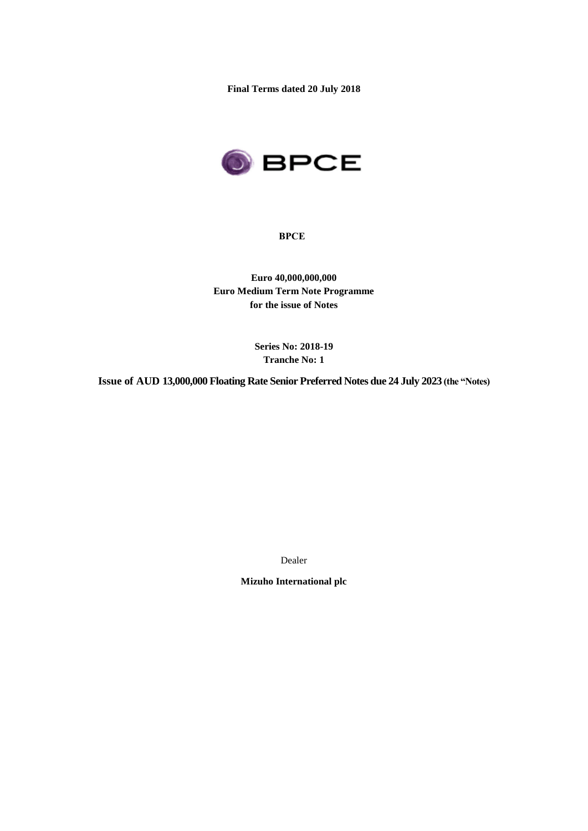**Final Terms dated 20 July 2018**



**BPCE**

**Euro 40,000,000,000 Euro Medium Term Note Programme for the issue of Notes**

> **Series No: 2018-19 Tranche No: 1**

**Issue of AUD 13,000,000 Floating Rate Senior Preferred Notes due 24 July 2023 (the "Notes)**

Dealer

**Mizuho International plc**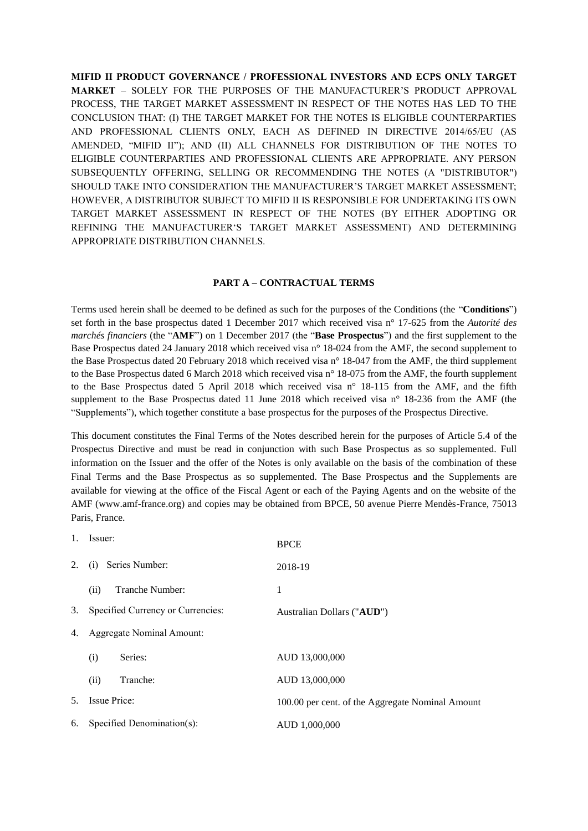**MIFID II PRODUCT GOVERNANCE / PROFESSIONAL INVESTORS AND ECPS ONLY TARGET MARKET** – SOLELY FOR THE PURPOSES OF THE MANUFACTURER'S PRODUCT APPROVAL PROCESS, THE TARGET MARKET ASSESSMENT IN RESPECT OF THE NOTES HAS LED TO THE CONCLUSION THAT: (I) THE TARGET MARKET FOR THE NOTES IS ELIGIBLE COUNTERPARTIES AND PROFESSIONAL CLIENTS ONLY, EACH AS DEFINED IN DIRECTIVE 2014/65/EU (AS AMENDED, "MIFID II"); AND (II) ALL CHANNELS FOR DISTRIBUTION OF THE NOTES TO ELIGIBLE COUNTERPARTIES AND PROFESSIONAL CLIENTS ARE APPROPRIATE. ANY PERSON SUBSEQUENTLY OFFERING, SELLING OR RECOMMENDING THE NOTES (A "DISTRIBUTOR") SHOULD TAKE INTO CONSIDERATION THE MANUFACTURER'S TARGET MARKET ASSESSMENT; HOWEVER, A DISTRIBUTOR SUBJECT TO MIFID II IS RESPONSIBLE FOR UNDERTAKING ITS OWN TARGET MARKET ASSESSMENT IN RESPECT OF THE NOTES (BY EITHER ADOPTING OR REFINING THE MANUFACTURER'S TARGET MARKET ASSESSMENT) AND DETERMINING APPROPRIATE DISTRIBUTION CHANNELS.

#### **PART A – CONTRACTUAL TERMS**

Terms used herein shall be deemed to be defined as such for the purposes of the Conditions (the "**Conditions**") set forth in the base prospectus dated 1 December 2017 which received visa n° 17-625 from the *Autorité des marchés financiers* (the "**AMF**") on 1 December 2017 (the "**Base Prospectus**") and the first supplement to the Base Prospectus dated 24 January 2018 which received visa n° 18-024 from the AMF, the second supplement to the Base Prospectus dated 20 February 2018 which received visa n° 18-047 from the AMF, the third supplement to the Base Prospectus dated 6 March 2018 which received visa n° 18-075 from the AMF, the fourth supplement to the Base Prospectus dated 5 April 2018 which received visa n° 18-115 from the AMF, and the fifth supplement to the Base Prospectus dated 11 June 2018 which received visa n° 18-236 from the AMF (the "Supplements"), which together constitute a base prospectus for the purposes of the Prospectus Directive.

This document constitutes the Final Terms of the Notes described herein for the purposes of Article 5.4 of the Prospectus Directive and must be read in conjunction with such Base Prospectus as so supplemented. Full information on the Issuer and the offer of the Notes is only available on the basis of the combination of these Final Terms and the Base Prospectus as so supplemented. The Base Prospectus and the Supplements are available for viewing at the office of the Fiscal Agent or each of the Paying Agents and on the website of the AMF (www.amf-france.org) and copies may be obtained from BPCE, 50 avenue Pierre Mendès-France, 75013 Paris, France.

| 1. | Issuer:                           | <b>BPCE</b>                                      |
|----|-----------------------------------|--------------------------------------------------|
| 2. | Series Number:<br>(i)             | 2018-19                                          |
|    | Tranche Number:<br>(ii)           | 1                                                |
| 3. | Specified Currency or Currencies: | Australian Dollars ("AUD")                       |
| 4. | <b>Aggregate Nominal Amount:</b>  |                                                  |
|    | (i)<br>Series:                    | AUD 13,000,000                                   |
|    | (ii)<br>Tranche:                  | AUD 13,000,000                                   |
| 5. | Issue Price:                      | 100.00 per cent. of the Aggregate Nominal Amount |
| 6. | Specified Denomination(s):        | AUD 1,000,000                                    |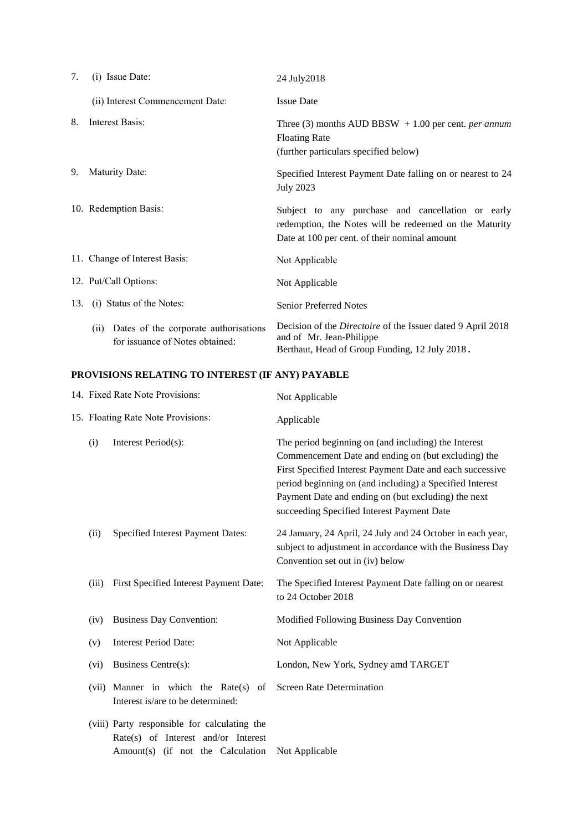| 7.  | $(i)$ Issue Date:                                                               | 24 July 2018                                                                                                                                                 |
|-----|---------------------------------------------------------------------------------|--------------------------------------------------------------------------------------------------------------------------------------------------------------|
|     | (ii) Interest Commencement Date:                                                | <b>Issue Date</b>                                                                                                                                            |
| 8.  | Interest Basis:                                                                 | Three (3) months AUD BBSW $+1.00$ per cent. <i>per annum</i><br><b>Floating Rate</b><br>(further particulars specified below)                                |
| 9.  | Maturity Date:                                                                  | Specified Interest Payment Date falling on or nearest to 24<br><b>July 2023</b>                                                                              |
|     | 10. Redemption Basis:                                                           | Subject to any purchase and cancellation or early<br>redemption, the Notes will be redeemed on the Maturity<br>Date at 100 per cent. of their nominal amount |
|     | 11. Change of Interest Basis:                                                   | Not Applicable                                                                                                                                               |
|     | 12. Put/Call Options:                                                           | Not Applicable                                                                                                                                               |
| 13. | (i) Status of the Notes:                                                        | <b>Senior Preferred Notes</b>                                                                                                                                |
|     | Dates of the corporate authorisations<br>(i)<br>for issuance of Notes obtained: | Decision of the <i>Directoire</i> of the Issuer dated 9 April 2018<br>and of Mr. Jean-Philippe<br>Berthaut, Head of Group Funding, 12 July 2018.             |

# **PROVISIONS RELATING TO INTEREST (IF ANY) PAYABLE**

|                                    | 14. Fixed Rate Note Provisions:                                                                                          | Not Applicable                                                                                                                                                                                                                                                                                                                            |
|------------------------------------|--------------------------------------------------------------------------------------------------------------------------|-------------------------------------------------------------------------------------------------------------------------------------------------------------------------------------------------------------------------------------------------------------------------------------------------------------------------------------------|
| 15. Floating Rate Note Provisions: |                                                                                                                          | Applicable                                                                                                                                                                                                                                                                                                                                |
| (i)                                | Interest Period(s):                                                                                                      | The period beginning on (and including) the Interest<br>Commencement Date and ending on (but excluding) the<br>First Specified Interest Payment Date and each successive<br>period beginning on (and including) a Specified Interest<br>Payment Date and ending on (but excluding) the next<br>succeeding Specified Interest Payment Date |
| (ii)                               | Specified Interest Payment Dates:                                                                                        | 24 January, 24 April, 24 July and 24 October in each year,<br>subject to adjustment in accordance with the Business Day<br>Convention set out in (iv) below                                                                                                                                                                               |
| (iii)                              | First Specified Interest Payment Date:                                                                                   | The Specified Interest Payment Date falling on or nearest<br>to 24 October 2018                                                                                                                                                                                                                                                           |
| (iv)                               | <b>Business Day Convention:</b>                                                                                          | Modified Following Business Day Convention                                                                                                                                                                                                                                                                                                |
| (v)                                | <b>Interest Period Date:</b>                                                                                             | Not Applicable                                                                                                                                                                                                                                                                                                                            |
| (vi)                               | Business Centre(s):                                                                                                      | London, New York, Sydney amd TARGET                                                                                                                                                                                                                                                                                                       |
| (vii)                              | Manner in which the Rate(s) of<br>Interest is/are to be determined:                                                      | Screen Rate Determination                                                                                                                                                                                                                                                                                                                 |
|                                    | (viii) Party responsible for calculating the<br>Rate(s) of Interest and/or Interest<br>Amount(s) (if not the Calculation | Not Applicable                                                                                                                                                                                                                                                                                                                            |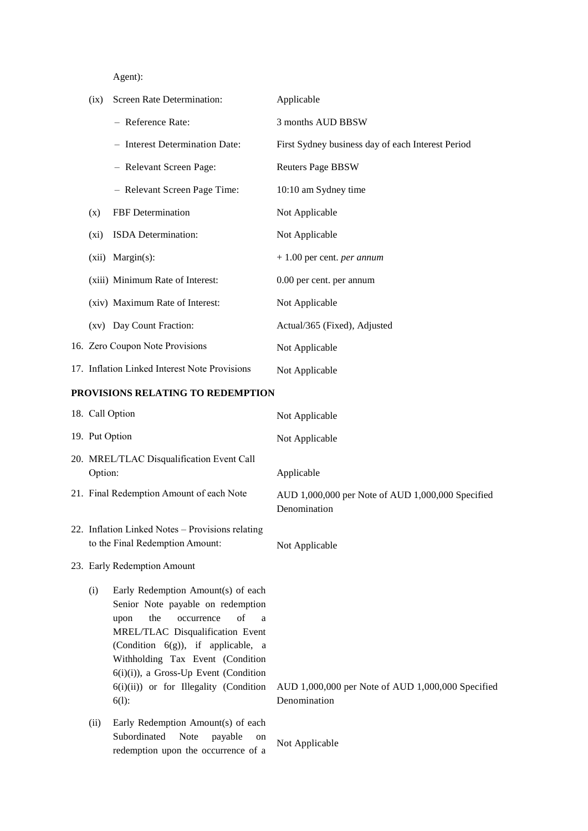Agent):

| (ix)                                                 | Screen Rate Determination:                                                                                                                                                                                                                                                                                                        | Applicable                                                        |
|------------------------------------------------------|-----------------------------------------------------------------------------------------------------------------------------------------------------------------------------------------------------------------------------------------------------------------------------------------------------------------------------------|-------------------------------------------------------------------|
|                                                      | - Reference Rate:                                                                                                                                                                                                                                                                                                                 | 3 months AUD BBSW                                                 |
|                                                      | - Interest Determination Date:                                                                                                                                                                                                                                                                                                    | First Sydney business day of each Interest Period                 |
|                                                      | - Relevant Screen Page:                                                                                                                                                                                                                                                                                                           | <b>Reuters Page BBSW</b>                                          |
|                                                      | - Relevant Screen Page Time:                                                                                                                                                                                                                                                                                                      | 10:10 am Sydney time                                              |
| (x)                                                  | FBF Determination                                                                                                                                                                                                                                                                                                                 | Not Applicable                                                    |
| (xi)                                                 | ISDA Determination:                                                                                                                                                                                                                                                                                                               | Not Applicable                                                    |
|                                                      | (xii) Margin(s):                                                                                                                                                                                                                                                                                                                  | $+1.00$ per cent. <i>per annum</i>                                |
|                                                      | (xiii) Minimum Rate of Interest:                                                                                                                                                                                                                                                                                                  | 0.00 per cent. per annum                                          |
|                                                      | (xiv) Maximum Rate of Interest:                                                                                                                                                                                                                                                                                                   | Not Applicable                                                    |
|                                                      | (xv) Day Count Fraction:                                                                                                                                                                                                                                                                                                          | Actual/365 (Fixed), Adjusted                                      |
|                                                      | 16. Zero Coupon Note Provisions                                                                                                                                                                                                                                                                                                   | Not Applicable                                                    |
|                                                      | 17. Inflation Linked Interest Note Provisions                                                                                                                                                                                                                                                                                     | Not Applicable                                                    |
|                                                      | PROVISIONS RELATING TO REDEMPTION                                                                                                                                                                                                                                                                                                 |                                                                   |
|                                                      | 18. Call Option                                                                                                                                                                                                                                                                                                                   | Not Applicable                                                    |
| 19. Put Option                                       |                                                                                                                                                                                                                                                                                                                                   | Not Applicable                                                    |
| 20. MREL/TLAC Disqualification Event Call<br>Option: |                                                                                                                                                                                                                                                                                                                                   | Applicable                                                        |
|                                                      | 21. Final Redemption Amount of each Note                                                                                                                                                                                                                                                                                          | AUD 1,000,000 per Note of AUD 1,000,000 Specified<br>Denomination |
|                                                      | 22. Inflation Linked Notes - Provisions relating<br>to the Final Redemption Amount:                                                                                                                                                                                                                                               | Not Applicable                                                    |
|                                                      | 23. Early Redemption Amount                                                                                                                                                                                                                                                                                                       |                                                                   |
| (i)                                                  | Early Redemption Amount(s) of each<br>Senior Note payable on redemption<br>of<br>the<br>occurrence<br>upon<br>a<br>MREL/TLAC Disqualification Event<br>(Condition $6(g)$ ), if applicable, a<br>Withholding Tax Event (Condition<br>$6(i)(i)$ , a Gross-Up Event (Condition<br>6(i)(ii)) or for Illegality (Condition<br>$6(1)$ : | AUD 1,000,000 per Note of AUD 1,000,000 Specified<br>Denomination |
| (ii)                                                 | Early Redemption Amount(s) of each<br>Subordinated<br>Note<br>payable<br>on<br>redemption upon the occurrence of a                                                                                                                                                                                                                | Not Applicable                                                    |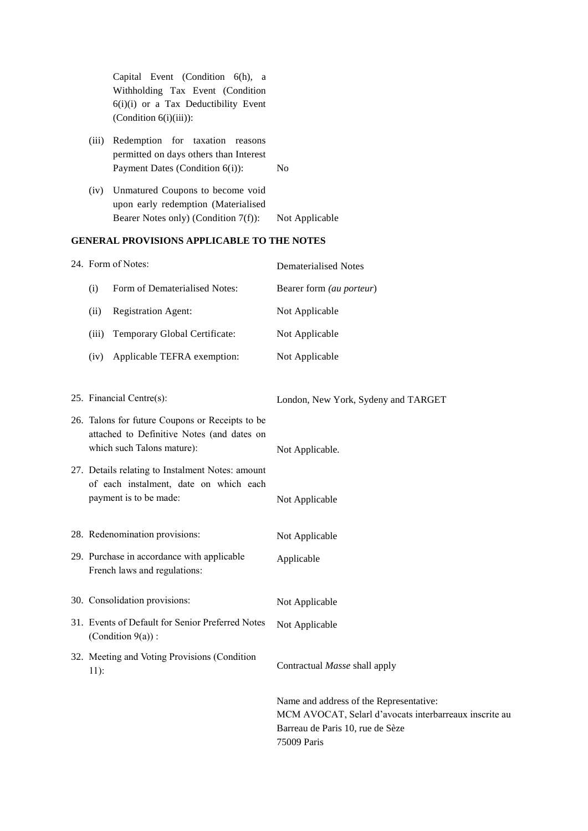|        | Capital Event (Condition 6(h), a<br>Withholding Tax Event (Condition<br>6(i)(i) or a Tax Deductibility Event<br>(Condition $6(i)(iii)$ ): |                                                                                                                                                      |
|--------|-------------------------------------------------------------------------------------------------------------------------------------------|------------------------------------------------------------------------------------------------------------------------------------------------------|
| (iii)  | Redemption for taxation reasons<br>permitted on days others than Interest<br>Payment Dates (Condition 6(i)):                              | N <sub>o</sub>                                                                                                                                       |
| (iv)   | Unmatured Coupons to become void<br>upon early redemption (Materialised<br>Bearer Notes only) (Condition 7(f)):                           | Not Applicable                                                                                                                                       |
|        | <b>GENERAL PROVISIONS APPLICABLE TO THE NOTES</b>                                                                                         |                                                                                                                                                      |
|        | 24. Form of Notes:                                                                                                                        | <b>Dematerialised Notes</b>                                                                                                                          |
| (i)    | Form of Dematerialised Notes:                                                                                                             | Bearer form (au porteur)                                                                                                                             |
| (ii)   | <b>Registration Agent:</b>                                                                                                                | Not Applicable                                                                                                                                       |
| (iii)  | Temporary Global Certificate:                                                                                                             | Not Applicable                                                                                                                                       |
| (iv)   | Applicable TEFRA exemption:                                                                                                               | Not Applicable                                                                                                                                       |
|        | 25. Financial Centre(s):<br>26. Talons for future Coupons or Receipts to be                                                               | London, New York, Sydeny and TARGET                                                                                                                  |
|        | attached to Definitive Notes (and dates on<br>which such Talons mature):                                                                  | Not Applicable.                                                                                                                                      |
|        | 27. Details relating to Instalment Notes: amount<br>of each instalment, date on which each<br>payment is to be made:                      | Not Applicable                                                                                                                                       |
|        | 28. Redenomination provisions:                                                                                                            | Not Applicable                                                                                                                                       |
|        | 29. Purchase in accordance with applicable<br>French laws and regulations:                                                                | Applicable                                                                                                                                           |
|        | 30. Consolidation provisions:                                                                                                             | Not Applicable                                                                                                                                       |
|        | 31. Events of Default for Senior Preferred Notes<br>(Condition $9(a)$ ):                                                                  | Not Applicable                                                                                                                                       |
| $11$ : | 32. Meeting and Voting Provisions (Condition                                                                                              | Contractual Masse shall apply                                                                                                                        |
|        |                                                                                                                                           | Name and address of the Representative:<br>MCM AVOCAT, Selarl d'avocats interbarreaux inscrite au<br>Barreau de Paris 10, rue de Sèze<br>75009 Paris |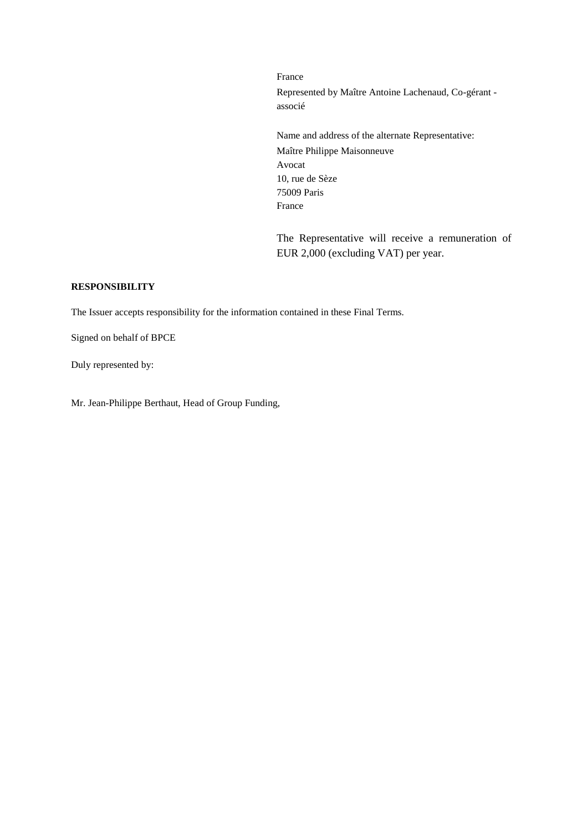France Represented by Maître Antoine Lachenaud, Co-gérant associé

Name and address of the alternate Representative: Maître Philippe Maisonneuve Avocat 10, rue de Sèze 75009 Paris France

The Representative will receive a remuneration of EUR 2,000 (excluding VAT) per year.

# **RESPONSIBILITY**

The Issuer accepts responsibility for the information contained in these Final Terms.

Signed on behalf of BPCE

Duly represented by:

Mr. Jean-Philippe Berthaut, Head of Group Funding,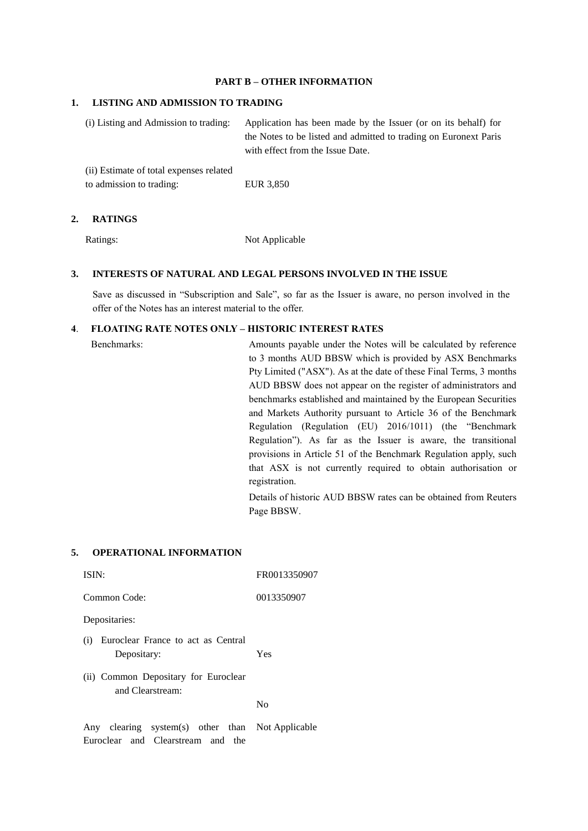## **PART B – OTHER INFORMATION**

### **1. LISTING AND ADMISSION TO TRADING**

| (i) Listing and Admission to trading:   | Application has been made by the Issuer (or on its behalf) for   |
|-----------------------------------------|------------------------------------------------------------------|
|                                         | the Notes to be listed and admitted to trading on Euronext Paris |
|                                         | with effect from the Issue Date.                                 |
| (ii) Estimate of total expenses related |                                                                  |

to admission to trading: EUR 3,850

#### **2. RATINGS**

Ratings: Not Applicable

# **3. INTERESTS OF NATURAL AND LEGAL PERSONS INVOLVED IN THE ISSUE**

Save as discussed in "Subscription and Sale", so far as the Issuer is aware, no person involved in the offer of the Notes has an interest material to the offer.

#### **4**. **FLOATING RATE NOTES ONLY – HISTORIC INTEREST RATES**

| Benchmarks: | Amounts payable under the Notes will be calculated by reference                |
|-------------|--------------------------------------------------------------------------------|
|             | to 3 months AUD BBSW which is provided by ASX Benchmarks                       |
|             | Pty Limited ("ASX"). As at the date of these Final Terms, 3 months             |
|             | AUD BBSW does not appear on the register of administrators and                 |
|             | benchmarks established and maintained by the European Securities               |
|             | and Markets Authority pursuant to Article 36 of the Benchmark                  |
|             | Regulation (Regulation (EU) 2016/1011) (the "Benchmark                         |
|             | Regulation"). As far as the Issuer is aware, the transitional                  |
|             | provisions in Article 51 of the Benchmark Regulation apply, such               |
|             | that ASX is not currently required to obtain authorisation or<br>registration. |
|             | Details of historic AUD BBSW rates can be obtained from Reuters<br>Page BBSW.  |
|             |                                                                                |

#### **5. OPERATIONAL INFORMATION**

| ISIN:                                                    | FR0013350907                           |
|----------------------------------------------------------|----------------------------------------|
| Common Code:                                             | 0013350907                             |
| Depositaries:                                            |                                        |
| Euroclear France to act as Central<br>(i)<br>Depositary: | Yes                                    |
| (ii) Common Depositary for Euroclear<br>and Clearstream: |                                        |
|                                                          | No                                     |
|                                                          | $\mathbf{v}$ $\mathbf{v}$ $\mathbf{v}$ |

Any clearing system(s) other than Not ApplicableEuroclear and Clearstream and the